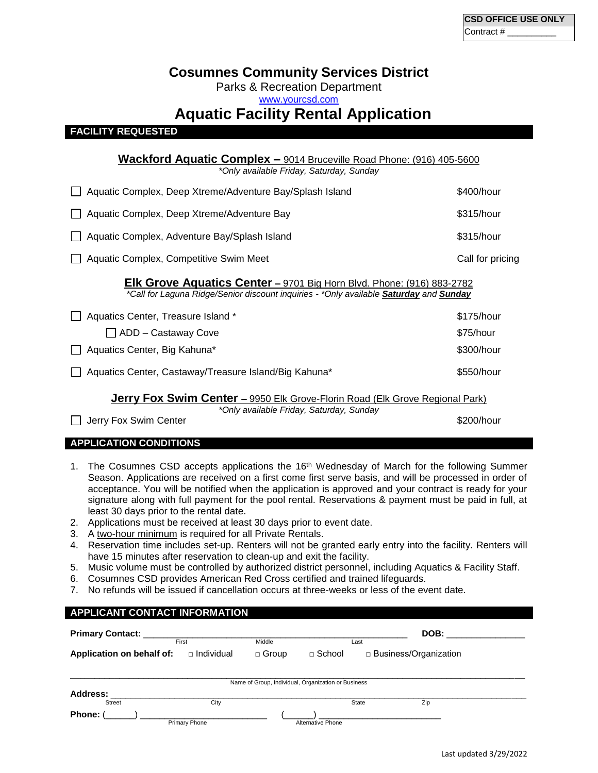## **Cosumnes Community Services District**

Parks & Recreation Department

[www.yourcsd.com](http://www.yourcsd.com/)

# **Aquatic Facility Rental Application**

## **FACILITY REQUESTED**

|                                                                                                                                                                               | <b>Wackford Aquatic Complex –</b> 9014 Bruceville Road Phone: (916) 405-5600<br>*Only available Friday, Saturday, Sunday |                  |  |  |  |  |  |
|-------------------------------------------------------------------------------------------------------------------------------------------------------------------------------|--------------------------------------------------------------------------------------------------------------------------|------------------|--|--|--|--|--|
|                                                                                                                                                                               | Aquatic Complex, Deep Xtreme/Adventure Bay/Splash Island                                                                 | \$400/hour       |  |  |  |  |  |
|                                                                                                                                                                               | Aquatic Complex, Deep Xtreme/Adventure Bay                                                                               | \$315/hour       |  |  |  |  |  |
|                                                                                                                                                                               | Aquatic Complex, Adventure Bay/Splash Island                                                                             | \$315/hour       |  |  |  |  |  |
|                                                                                                                                                                               | Aquatic Complex, Competitive Swim Meet                                                                                   | Call for pricing |  |  |  |  |  |
| Elk Grove Aquatics Center - 9701 Big Horn Blvd. Phone: (916) 883-2782<br>*Call for Laguna Ridge/Senior discount inquiries - *Only available <b>Saturday</b> and <b>Sunday</b> |                                                                                                                          |                  |  |  |  |  |  |
|                                                                                                                                                                               | Aquatics Center, Treasure Island *                                                                                       | \$175/hour       |  |  |  |  |  |
|                                                                                                                                                                               | $\Box$ ADD – Castaway Cove                                                                                               | \$75/hour        |  |  |  |  |  |
|                                                                                                                                                                               | Aquatics Center, Big Kahuna*                                                                                             | \$300/hour       |  |  |  |  |  |
|                                                                                                                                                                               | Aquatics Center, Castaway/Treasure Island/Big Kahuna*                                                                    | \$550/hour       |  |  |  |  |  |
| <b>Jerry Fox Swim Center –</b> 9950 Elk Grove-Florin Road (Elk Grove Regional Park)                                                                                           |                                                                                                                          |                  |  |  |  |  |  |
|                                                                                                                                                                               | *Only available Friday, Saturday, Sunday<br>Jerry Fox Swim Center                                                        | \$200/hour       |  |  |  |  |  |

## **APPLICATION CONDITIONS**

- 1. The Cosumnes CSD accepts applications the 16<sup>th</sup> Wednesday of March for the following Summer Season. Applications are received on a first come first serve basis, and will be processed in order of acceptance. You will be notified when the application is approved and your contract is ready for your signature along with full payment for the pool rental. Reservations & payment must be paid in full, at least 30 days prior to the rental date.
- 2. Applications must be received at least 30 days prior to event date.
- 3. A two-hour minimum is required for all Private Rentals.
- 4. Reservation time includes set-up. Renters will not be granted early entry into the facility. Renters will have 15 minutes after reservation to clean-up and exit the facility.
- 5. Music volume must be controlled by authorized district personnel, including Aquatics & Facility Staff.
- 6. Cosumnes CSD provides American Red Cross certified and trained lifeguards.
- 7. No refunds will be issued if cancellation occurs at three-weeks or less of the event date.

## **APPLICANT CONTACT INFORMATION Primary Contact:** \_\_\_\_\_\_\_\_\_\_\_\_\_\_\_\_\_\_\_\_\_\_\_\_\_\_\_\_\_\_\_\_\_\_\_\_\_\_\_\_\_\_\_\_\_\_\_\_\_\_\_\_\_\_ **DOB:** \_\_\_\_\_\_\_\_\_\_\_\_\_\_\_\_ First **Contract Contract Middle Contract Contract Contract Contract Contract Contract Contract Contract Contract Contract Contract Contract Contract Contract Contract Contract Contract Contract Contract Contract Contract Application on behalf of:** □ Individual □ Group □ School □ Business/Organization  $\overline{a}$  , and the state of the state of the state of the state of the state of the state of the state of the state of the state of the state of the state of the state of the state of the state of the state of the state o Name of Group, Individual, Organization or Business **Address:** \_\_\_\_\_\_\_\_\_\_\_\_\_\_\_\_\_\_\_\_\_\_\_\_\_\_\_\_\_\_\_\_\_\_\_\_\_\_\_\_\_\_\_\_\_\_\_\_\_\_\_\_\_\_\_\_\_\_\_\_\_\_\_\_\_\_\_\_\_\_\_\_\_\_\_\_\_\_\_\_\_\_\_\_\_ Street City State Zip **Phone:** (\_\_\_\_\_\_) \_\_\_\_\_\_\_\_\_\_\_\_\_\_\_\_\_\_\_\_\_\_\_\_\_\_ (\_\_\_\_\_\_) \_\_\_\_\_\_\_\_\_\_\_\_\_\_\_\_\_\_\_\_\_\_\_\_\_ Primary Phone Alternative Phone